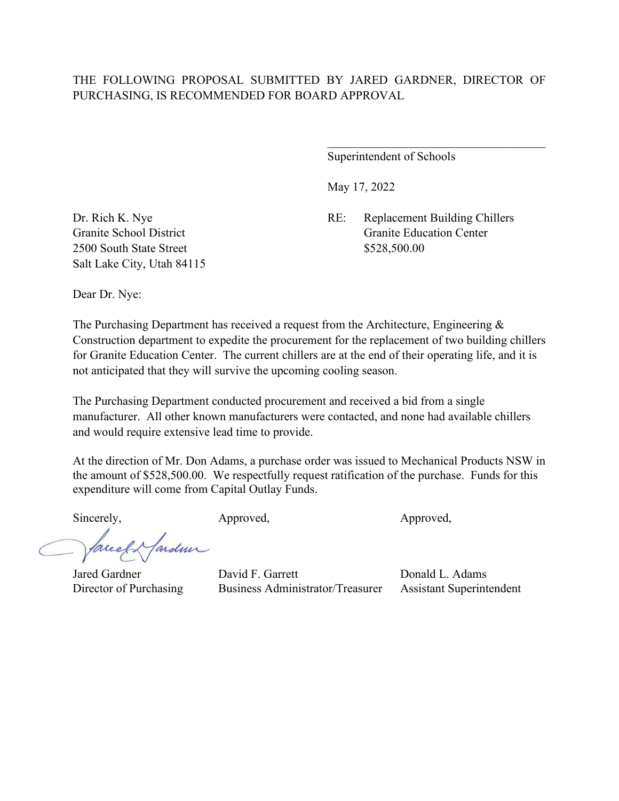Superintendent of Schools

May 17, 2022

Dr. Rich K. Nye RE: Replacement Building Chillers Granite School District Granite Education Center

2500 South State Street \$528,500.00 Salt Lake City, Utah 84115

Dear Dr. Nye:

The Purchasing Department has received a request from the Architecture, Engineering & Construction department to expedite the procurement for the replacement of two building chillers for Granite Education Center. The current chillers are at the end of their operating life, and it is not anticipated that they will survive the upcoming cooling season.

The Purchasing Department conducted procurement and received a bid from a single manufacturer. All other known manufacturers were contacted, and none had available chillers and would require extensive lead time to provide.

At the direction of Mr. Don Adams, a purchase order was issued to Mechanical Products NSW in the amount of \$528,500.00. We respectfully request ratification of the purchase. Funds for this expenditure will come from Capital Outlay Funds.

Sincerely, Approved, Approved, Approved, Approved,

facely ardmi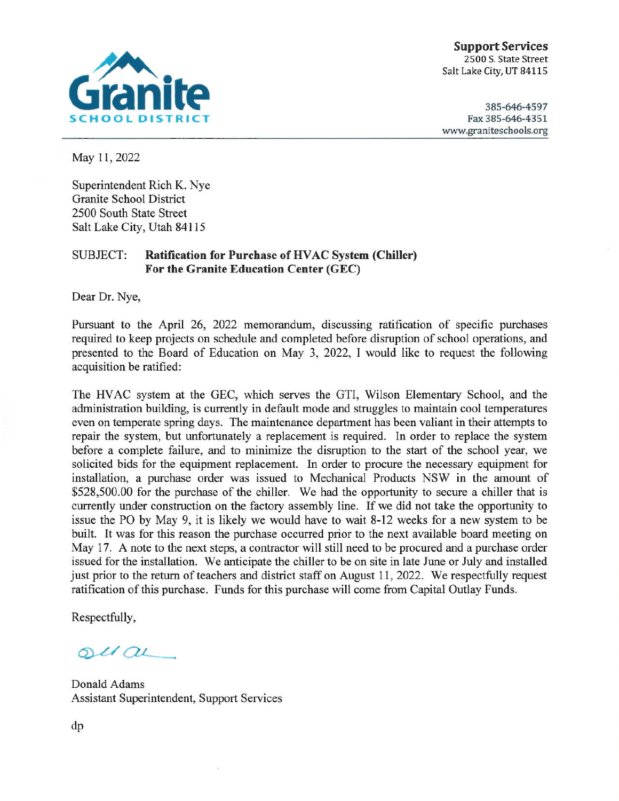

**Support Services** 2500 S. State Street Salt Lake City, UT 84115

385-646-4597 Fax 385-646-4351 www.graniteschools.org

May 11, 2022

Superintendent Rich K. Nye **Granite School District** 2500 South State Street Salt Lake City, Utah 84115

#### **Ratification for Purchase of HVAC System (Chiller) SUBJECT:** For the Granite Education Center (GEC)

Dear Dr. Nye,

Pursuant to the April 26, 2022 memorandum, discussing ratification of specific purchases required to keep projects on schedule and completed before disruption of school operations, and presented to the Board of Education on May 3, 2022, I would like to request the following acquisition be ratified:

The HVAC system at the GEC, which serves the GTI, Wilson Elementary School, and the administration building, is currently in default mode and struggles to maintain cool temperatures even on temperate spring days. The maintenance department has been valiant in their attempts to repair the system, but unfortunately a replacement is required. In order to replace the system before a complete failure, and to minimize the disruption to the start of the school year, we solicited bids for the equipment replacement. In order to procure the necessary equipment for installation, a purchase order was issued to Mechanical Products NSW in the amount of \$528,500.00 for the purchase of the chiller. We had the opportunity to secure a chiller that is currently under construction on the factory assembly line. If we did not take the opportunity to issue the PO by May 9, it is likely we would have to wait 8-12 weeks for a new system to be built. It was for this reason the purchase occurred prior to the next available board meeting on May 17. A note to the next steps, a contractor will still need to be procured and a purchase order issued for the installation. We anticipate the chiller to be on site in late June or July and installed just prior to the return of teachers and district staff on August 11, 2022. We respectfully request ratification of this purchase. Funds for this purchase will come from Capital Outlay Funds.

Respectfully,

 $ol($ 

Donald Adams **Assistant Superintendent, Support Services**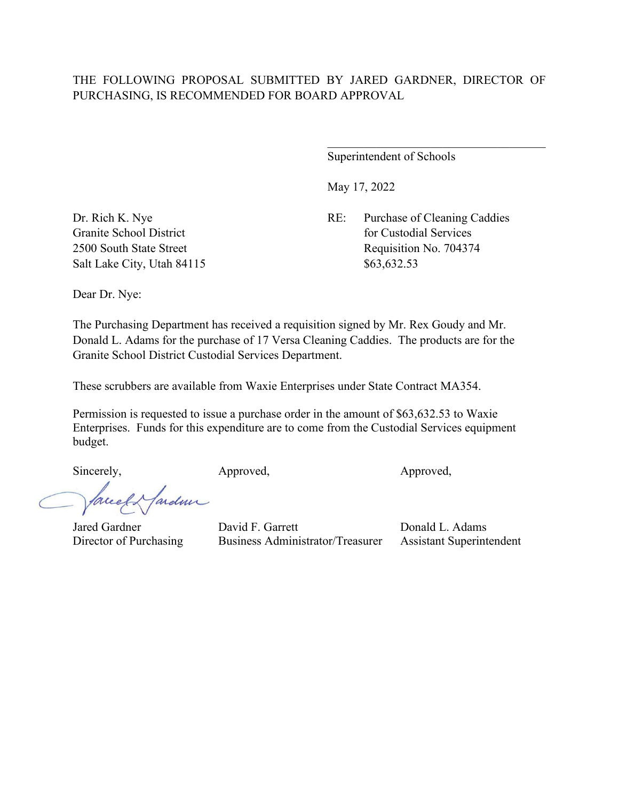Superintendent of Schools

May 17, 2022

Dr. Rich K. Nye RE: Purchase of Cleaning Caddies Granite School District **for Custodial Services** for Custodial Services 2500 South State Street Requisition No. 704374

Salt Lake City, Utah 84115 \$63,632.53

Dear Dr. Nye:

The Purchasing Department has received a requisition signed by Mr. Rex Goudy and Mr. Donald L. Adams for the purchase of 17 Versa Cleaning Caddies. The products are for the Granite School District Custodial Services Department.

These scrubbers are available from Waxie Enterprises under State Contract MA354.

Permission is requested to issue a purchase order in the amount of \$63,632.53 to Waxie Enterprises. Funds for this expenditure are to come from the Custodial Services equipment budget.

Sincerely, Approved, Approved, Approved,

ardmi auch-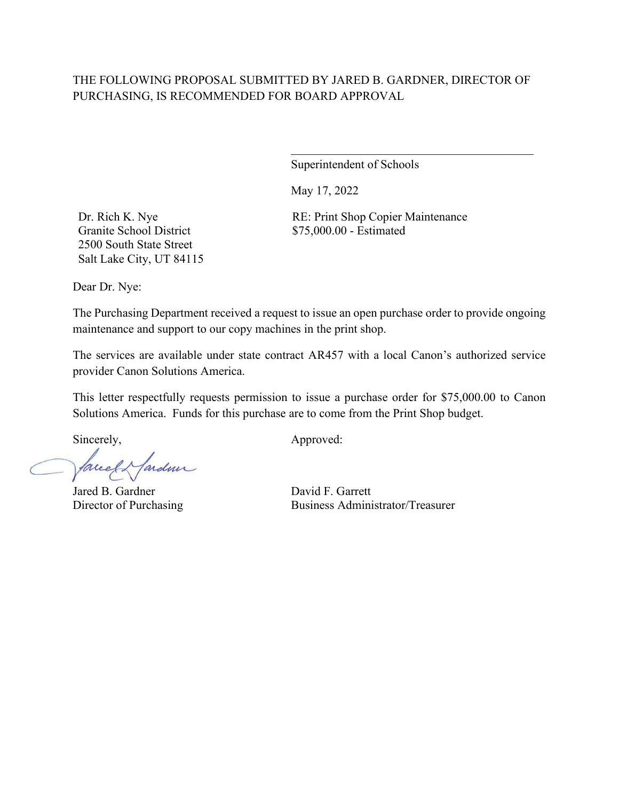Superintendent of Schools

May 17, 2022

Dr. Rich K. Nye Granite School District 2500 South State Street Salt Lake City, UT 84115 RE: Print Shop Copier Maintenance \$75,000.00 - Estimated

 $\mathcal{L}_\mathcal{L}$  , which is a set of the set of the set of the set of the set of the set of the set of the set of the set of the set of the set of the set of the set of the set of the set of the set of the set of the set of

Dear Dr. Nye:

The Purchasing Department received a request to issue an open purchase order to provide ongoing maintenance and support to our copy machines in the print shop.

The services are available under state contract AR457 with a local Canon's authorized service provider Canon Solutions America.

This letter respectfully requests permission to issue a purchase order for \$75,000.00 to Canon Solutions America. Funds for this purchase are to come from the Print Shop budget.

facell fardner

Jared B. Gardner David F. Garrett

Sincerely,  $\qquad \qquad \text{Approved:}$ 

Director of Purchasing Business Administrator/Treasurer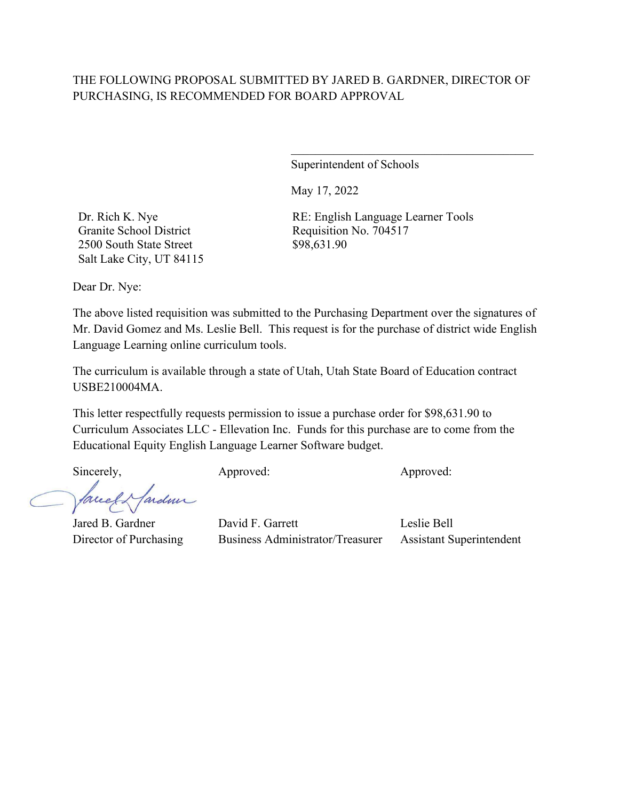Superintendent of Schools

May 17, 2022

Dr. Rich K. Nye Granite School District 2500 South State Street Salt Lake City, UT 84115 RE: English Language Learner Tools Requisition No. 704517 \$98,631.90

 $\mathcal{L}_\mathcal{L}$  , which is a set of the set of the set of the set of the set of the set of the set of the set of the set of the set of the set of the set of the set of the set of the set of the set of the set of the set of

Dear Dr. Nye:

The above listed requisition was submitted to the Purchasing Department over the signatures of Mr. David Gomez and Ms. Leslie Bell. This request is for the purchase of district wide English Language Learning online curriculum tools.

The curriculum is available through a state of Utah, Utah State Board of Education contract USBE210004MA.

This letter respectfully requests permission to issue a purchase order for \$98,631.90 to Curriculum Associates LLC - Ellevation Inc. Funds for this purchase are to come from the Educational Equity English Language Learner Software budget.

Sincerely, Approved: Approved: Approved: Approved:

fardner facedo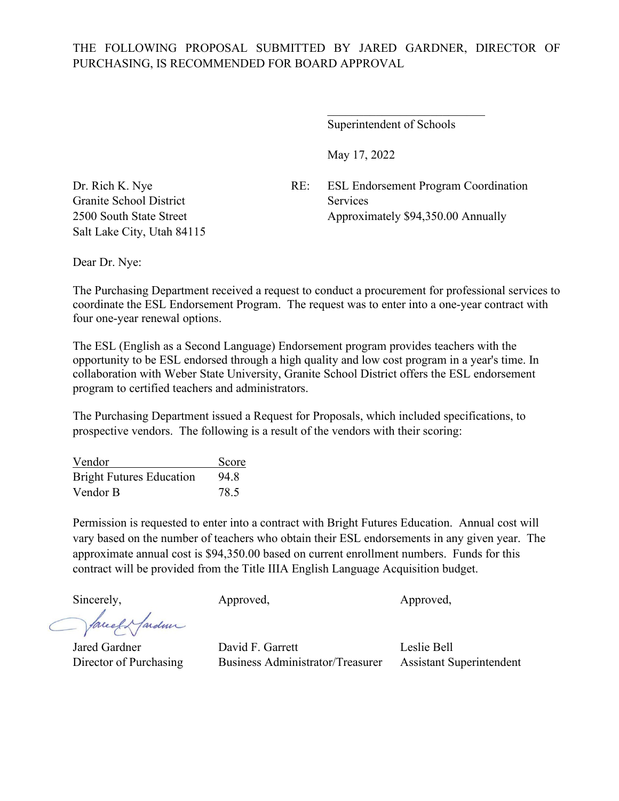Superintendent of Schools

 $\mathcal{L}_\text{max}$  , where  $\mathcal{L}_\text{max}$  and  $\mathcal{L}_\text{max}$ 

May 17, 2022

Dr. Rich K. Nye RE: ESL Endorsement Program Coordination 2500 South State Street Approximately \$94,350.00 Annually

Granite School District Services Salt Lake City, Utah 84115

Dear Dr. Nye:

The Purchasing Department received a request to conduct a procurement for professional services to coordinate the ESL Endorsement Program. The request was to enter into a one-year contract with four one-year renewal options.

The ESL (English as a Second Language) Endorsement program provides teachers with the opportunity to be ESL endorsed through a high quality and low cost program in a year's time. In collaboration with Weber State University, Granite School District offers the ESL endorsement program to certified teachers and administrators.

The Purchasing Department issued a Request for Proposals, which included specifications, to prospective vendors. The following is a result of the vendors with their scoring:

| Vendor                          | Score |
|---------------------------------|-------|
| <b>Bright Futures Education</b> | 94.8  |
| Vendor B                        | 78.5  |

Permission is requested to enter into a contract with Bright Futures Education. Annual cost will vary based on the number of teachers who obtain their ESL endorsements in any given year. The approximate annual cost is \$94,350.00 based on current enrollment numbers. Funds for this contract will be provided from the Title IIIA English Language Acquisition budget.

facely farden

Sincerely, Approved, Approved, Approved, Approved,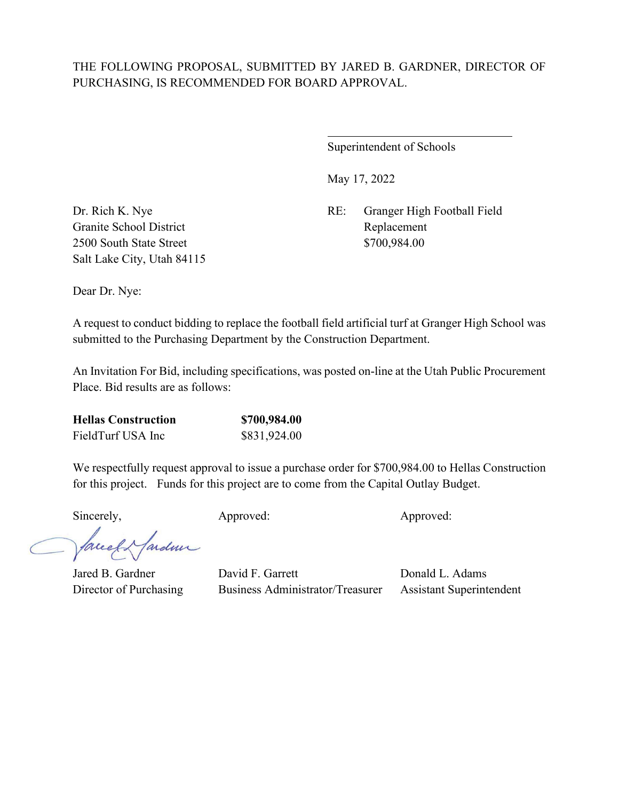$\overline{a}$ 

Superintendent of Schools

May 17, 2022

Dr. Rich K. Nye RE: Granger High Football Field

Granite School District Replacement 2500 South State Street \$700,984.00 Salt Lake City, Utah 84115

Dear Dr. Nye:

A request to conduct bidding to replace the football field artificial turf at Granger High School was submitted to the Purchasing Department by the Construction Department.

An Invitation For Bid, including specifications, was posted on-line at the Utah Public Procurement Place. Bid results are as follows:

| <b>Hellas Construction</b> | \$700,984.00 |
|----------------------------|--------------|
| FieldTurf USA Inc          | \$831,924.00 |

We respectfully request approval to issue a purchase order for \$700,984.00 to Hellas Construction for this project. Funds for this project are to come from the Capital Outlay Budget.

Sincerely, Approved: Approved: Approved: Approved:

facely farden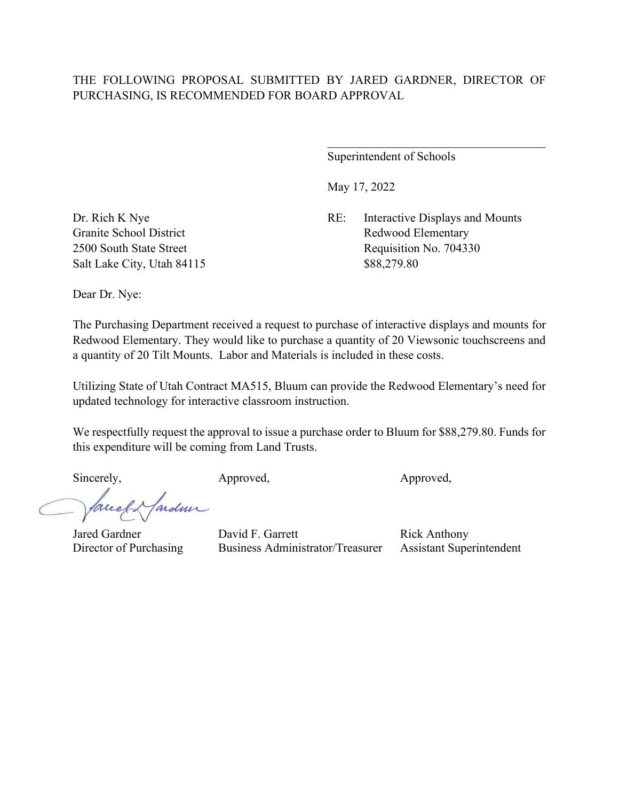Superintendent of Schools

May 17, 2022

Dr. Rich K Nye RE: Interactive Displays and Mounts Granite School District Redwood Elementary 2500 South State Street Requisition No. 704330

Salt Lake City, Utah 84115 \$88,279.80

Dear Dr. Nye:

The Purchasing Department received a request to purchase of interactive displays and mounts for Redwood Elementary. They would like to purchase a quantity of 20 Viewsonic touchscreens and a quantity of 20 Tilt Mounts. Labor and Materials is included in these costs.

Utilizing State of Utah Contract MA515, Bluum can provide the Redwood Elementary's need for updated technology for interactive classroom instruction.

We respectfully request the approval to issue a purchase order to Bluum for \$88,279.80. Funds for this expenditure will be coming from Land Trusts.

Sincerely, Approved, Approved, Approved,

fardme facely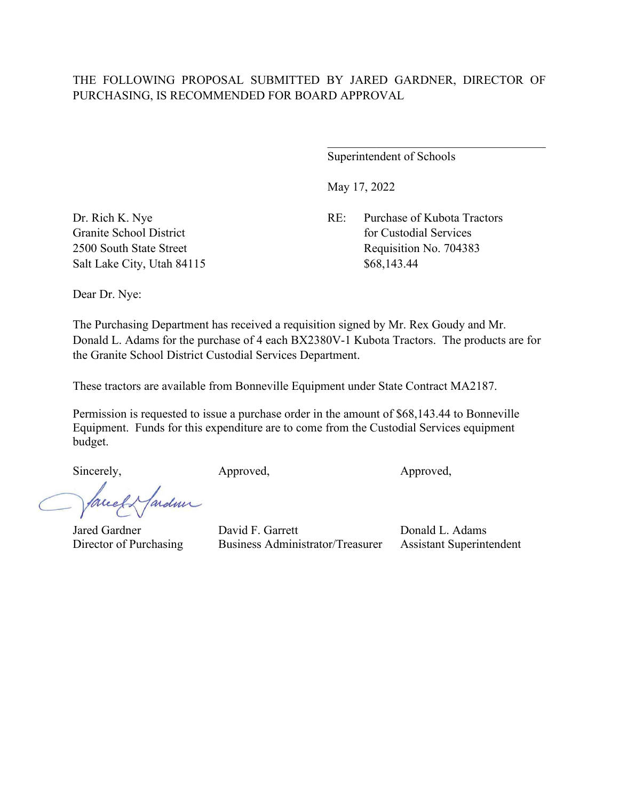Superintendent of Schools

May 17, 2022

Dr. Rich K. Nye RE: Purchase of Kubota Tractors Granite School District **for Custodial Services** for Custodial Services 2500 South State Street Requisition No. 704383

Salt Lake City, Utah 84115 \$68,143.44

Dear Dr. Nye:

The Purchasing Department has received a requisition signed by Mr. Rex Goudy and Mr. Donald L. Adams for the purchase of 4 each BX2380V-1 Kubota Tractors. The products are for the Granite School District Custodial Services Department.

These tractors are available from Bonneville Equipment under State Contract MA2187.

Permission is requested to issue a purchase order in the amount of \$68,143.44 to Bonneville Equipment. Funds for this expenditure are to come from the Custodial Services equipment budget.

Sincerely, Approved, Approved, Approved,

faceef farden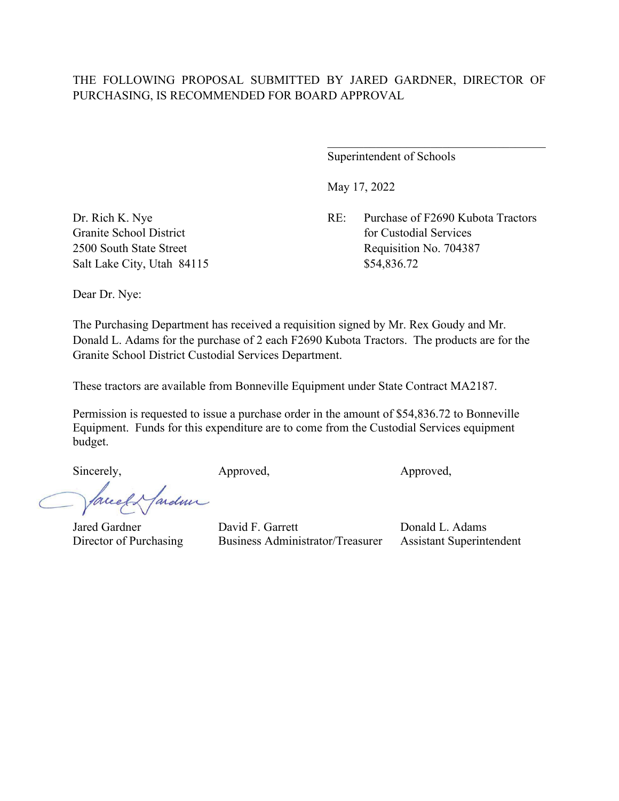Superintendent of Schools

May 17, 2022

Dr. Rich K. Nye RE: Purchase of F2690 Kubota Tractors Granite School District **for Custodial Services** for Custodial Services 2500 South State Street Requisition No. 704387

Salt Lake City, Utah 84115 \$54,836.72

Dear Dr. Nye:

The Purchasing Department has received a requisition signed by Mr. Rex Goudy and Mr. Donald L. Adams for the purchase of 2 each F2690 Kubota Tractors. The products are for the Granite School District Custodial Services Department.

These tractors are available from Bonneville Equipment under State Contract MA2187.

Permission is requested to issue a purchase order in the amount of \$54,836.72 to Bonneville Equipment. Funds for this expenditure are to come from the Custodial Services equipment budget.

Sincerely, Approved, Approved, Approved,

fardun auch-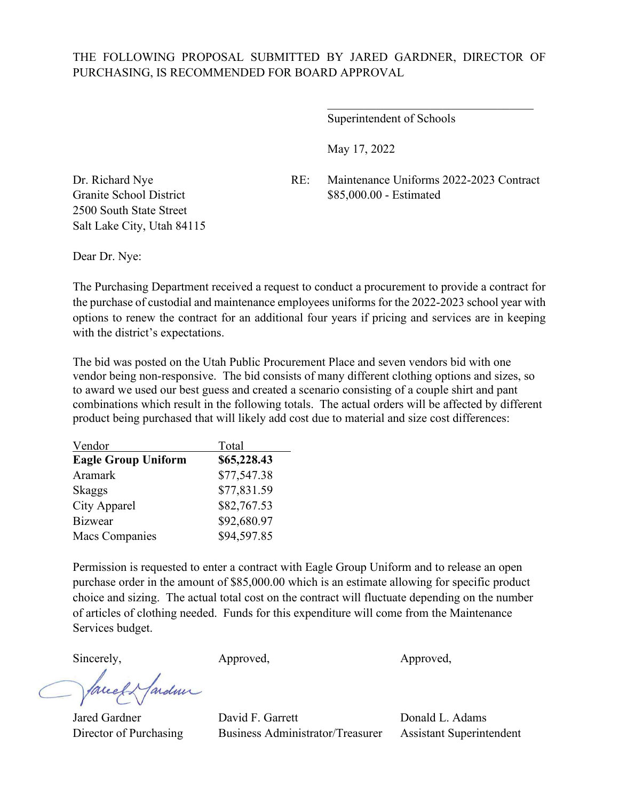Superintendent of Schools

May 17, 2022

Dr. Richard Nye RE: Maintenance Uniforms 2022-2023 Contract Granite School District \$85,000.00 - Estimated

 $\overline{\phantom{a}}$ 

2500 South State Street Salt Lake City, Utah 84115

Dear Dr. Nye:

The Purchasing Department received a request to conduct a procurement to provide a contract for the purchase of custodial and maintenance employees uniforms for the 2022-2023 school year with options to renew the contract for an additional four years if pricing and services are in keeping with the district's expectations.

The bid was posted on the Utah Public Procurement Place and seven vendors bid with one vendor being non-responsive. The bid consists of many different clothing options and sizes, so to award we used our best guess and created a scenario consisting of a couple shirt and pant combinations which result in the following totals. The actual orders will be affected by different product being purchased that will likely add cost due to material and size cost differences:

| Vendor                     | Total       |
|----------------------------|-------------|
| <b>Eagle Group Uniform</b> | \$65,228.43 |
| Aramark                    | \$77,547.38 |
| Skaggs                     | \$77,831.59 |
| City Apparel               | \$82,767.53 |
| <b>Bizwear</b>             | \$92,680.97 |
| <b>Macs Companies</b>      | \$94,597.85 |

Permission is requested to enter a contract with Eagle Group Uniform and to release an open purchase order in the amount of \$85,000.00 which is an estimate allowing for specific product choice and sizing. The actual total cost on the contract will fluctuate depending on the number of articles of clothing needed. Funds for this expenditure will come from the Maintenance Services budget.

ardmi facel

Sincerely, Approved, Approved, Approved,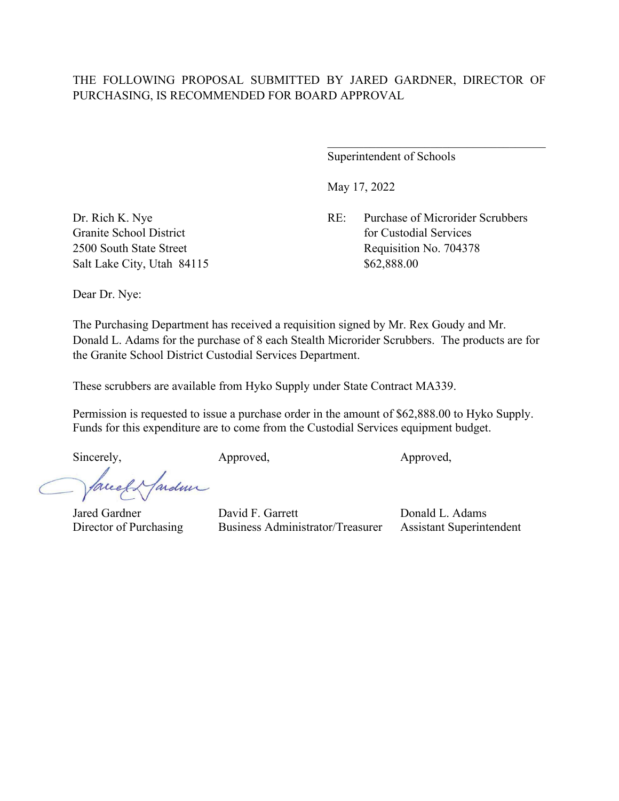Superintendent of Schools

May 17, 2022

Dr. Rich K. Nye RE: Purchase of Microrider Scrubbers Granite School District **for Custodial Services** for Custodial Services 2500 South State Street Requisition No. 704378

Salt Lake City, Utah 84115 \$62,888.00

Dear Dr. Nye:

The Purchasing Department has received a requisition signed by Mr. Rex Goudy and Mr. Donald L. Adams for the purchase of 8 each Stealth Microrider Scrubbers. The products are for the Granite School District Custodial Services Department.

These scrubbers are available from Hyko Supply under State Contract MA339.

Permission is requested to issue a purchase order in the amount of \$62,888.00 to Hyko Supply. Funds for this expenditure are to come from the Custodial Services equipment budget.

Sincerely, Approved, Approved, Approved,

facely farden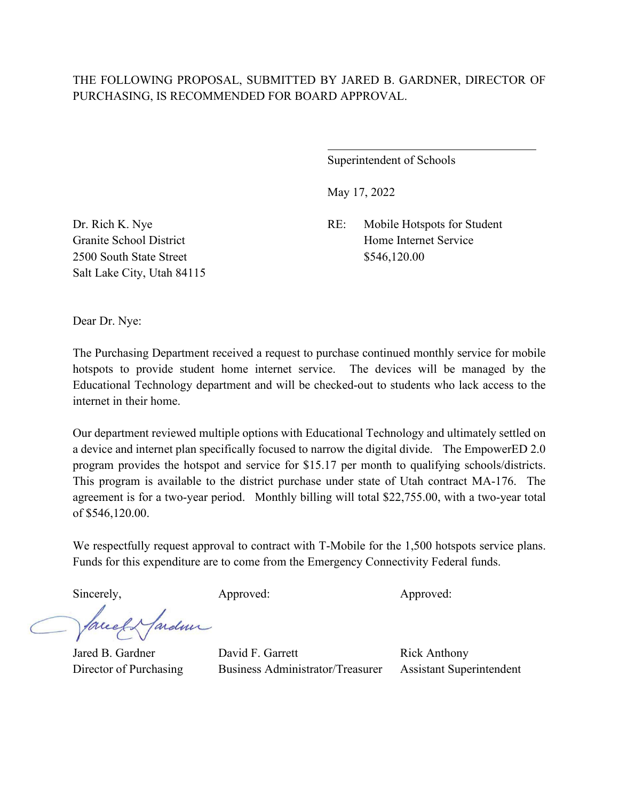$\overline{a}$ 

Superintendent of Schools

May 17, 2022

Dr. Rich K. Nye RE: Mobile Hotspots for Student Granite School District **Home Internet Service** 

2500 South State Street \$546,120.00 Salt Lake City, Utah 84115

Dear Dr. Nye:

The Purchasing Department received a request to purchase continued monthly service for mobile hotspots to provide student home internet service. The devices will be managed by the Educational Technology department and will be checked-out to students who lack access to the internet in their home.

Our department reviewed multiple options with Educational Technology and ultimately settled on a device and internet plan specifically focused to narrow the digital divide. The EmpowerED 2.0 program provides the hotspot and service for \$15.17 per month to qualifying schools/districts. This program is available to the district purchase under state of Utah contract MA-176. The agreement is for a two-year period. Monthly billing will total \$22,755.00, with a two-year total of \$546,120.00.

We respectfully request approval to contract with T-Mobile for the 1,500 hotspots service plans. Funds for this expenditure are to come from the Emergency Connectivity Federal funds.

Sincerely, Approved: Approved: Approved: Approved:

fardun facel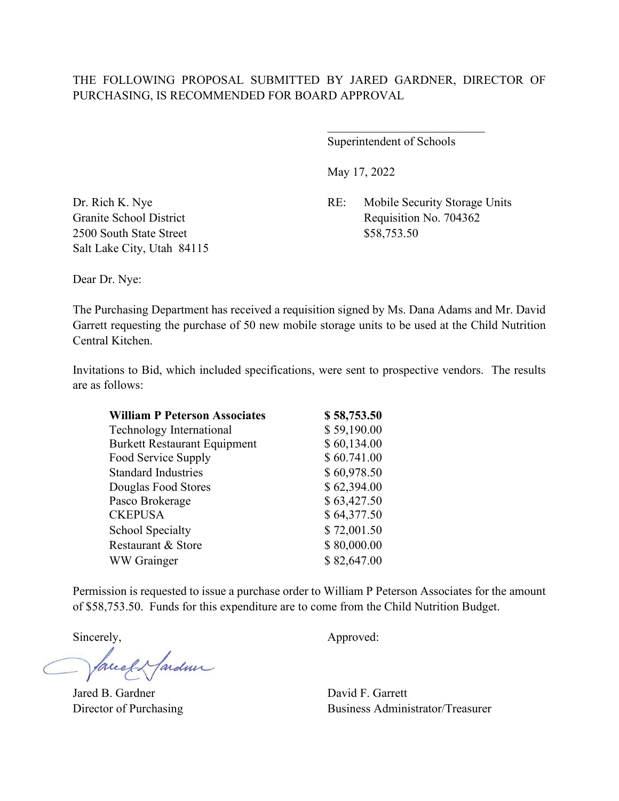Superintendent of Schools

\_\_\_\_\_\_\_\_\_\_\_\_\_\_\_\_\_\_\_\_\_\_\_\_\_\_

May 17, 2022

Dr. Rich K. Nye RE: Mobile Security Storage Units Granite School District Requisition No. 704362

2500 South State Street \$58,753.50 Salt Lake City, Utah 84115

Dear Dr. Nye:

The Purchasing Department has received a requisition signed by Ms. Dana Adams and Mr. David Garrett requesting the purchase of 50 new mobile storage units to be used at the Child Nutrition Central Kitchen.

Invitations to Bid, which included specifications, were sent to prospective vendors. The results are as follows:

| <b>William P Peterson Associates</b> | \$58,753.50 |
|--------------------------------------|-------------|
| Technology International             | \$59,190.00 |
| <b>Burkett Restaurant Equipment</b>  | \$60,134.00 |
| Food Service Supply                  | \$60.741.00 |
| <b>Standard Industries</b>           | \$60,978.50 |
| Douglas Food Stores                  | \$62,394.00 |
| Pasco Brokerage                      | \$63,427.50 |
| <b>CKEPUSA</b>                       | \$64,377.50 |
| <b>School Specialty</b>              | \$72,001.50 |
| Restaurant & Store                   | \$80,000.00 |
| WW Grainger                          | \$82,647.00 |

Permission is requested to issue a purchase order to William P Peterson Associates for the amount of \$58,753.50. Funds for this expenditure are to come from the Child Nutrition Budget.

facely farden

Jared B. Gardner David F. Garrett

Sincerely,  $\qquad \qquad \text{Approved:}$ 

Director of Purchasing Business Administrator/Treasurer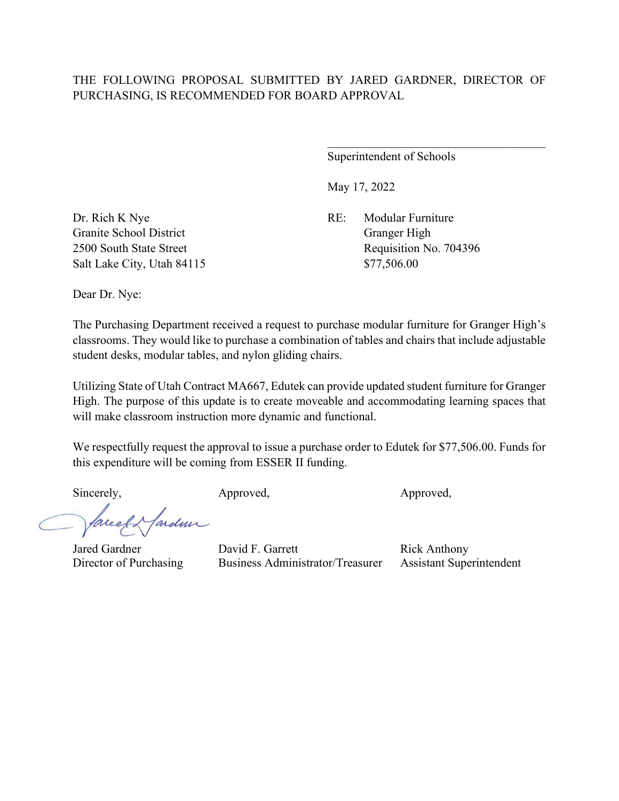Superintendent of Schools

May 17, 2022

Dr. Rich K Nye RE: Modular Furniture Granite School District Granger High Salt Lake City, Utah 84115 \$77,506.00

2500 South State Street Requisition No. 704396

Dear Dr. Nye:

The Purchasing Department received a request to purchase modular furniture for Granger High's classrooms. They would like to purchase a combination of tables and chairs that include adjustable student desks, modular tables, and nylon gliding chairs.

Utilizing State of Utah Contract MA667, Edutek can provide updated student furniture for Granger High. The purpose of this update is to create moveable and accommodating learning spaces that will make classroom instruction more dynamic and functional.

We respectfully request the approval to issue a purchase order to Edutek for \$77,506.00. Funds for this expenditure will be coming from ESSER II funding.

Sincerely, Approved, Approved, Approved,

faceef & farden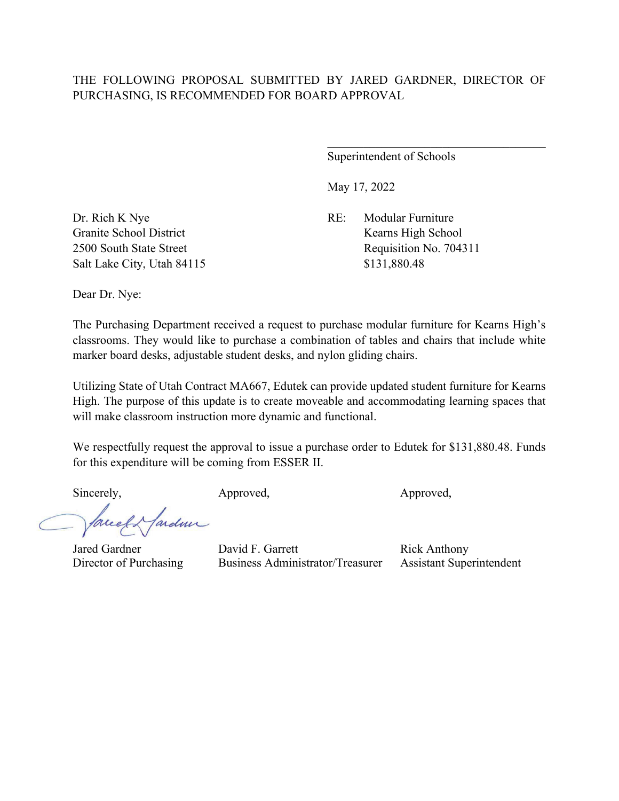Superintendent of Schools

May 17, 2022

Dr. Rich K Nye RE: Modular Furniture Granite School District Kearns High School Salt Lake City, Utah 84115 \$131,880.48

2500 South State Street Requisition No. 704311

Dear Dr. Nye:

The Purchasing Department received a request to purchase modular furniture for Kearns High's classrooms. They would like to purchase a combination of tables and chairs that include white marker board desks, adjustable student desks, and nylon gliding chairs.

Utilizing State of Utah Contract MA667, Edutek can provide updated student furniture for Kearns High. The purpose of this update is to create moveable and accommodating learning spaces that will make classroom instruction more dynamic and functional.

We respectfully request the approval to issue a purchase order to Edutek for \$131,880.48. Funds for this expenditure will be coming from ESSER II.

Sincerely, Approved, Approved, Approved,

facely farden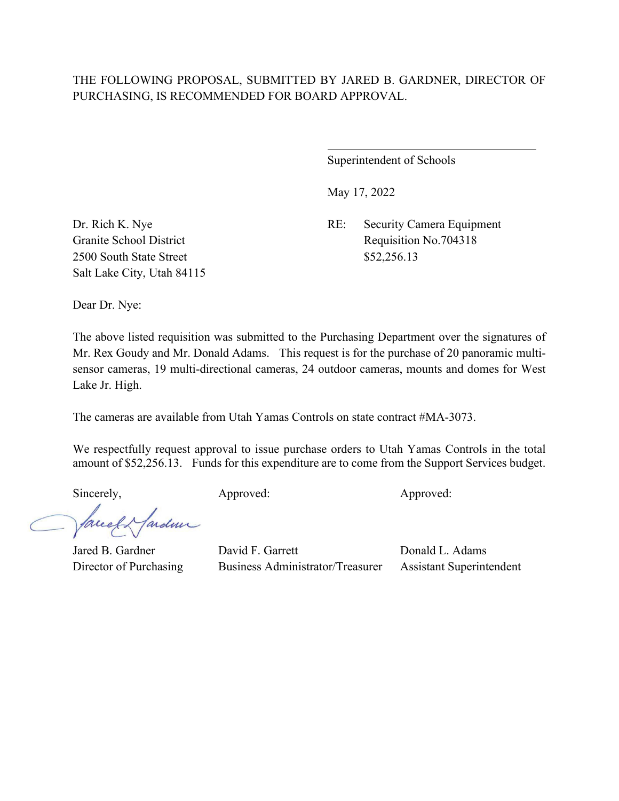$\overline{a}$ 

Superintendent of Schools

May 17, 2022

Dr. Rich K. Nye RE: Security Camera Equipment Granite School District Requisition No.704318

2500 South State Street \$52,256.13 Salt Lake City, Utah 84115

Dear Dr. Nye:

The above listed requisition was submitted to the Purchasing Department over the signatures of Mr. Rex Goudy and Mr. Donald Adams. This request is for the purchase of 20 panoramic multisensor cameras, 19 multi-directional cameras, 24 outdoor cameras, mounts and domes for West Lake Jr. High.

The cameras are available from Utah Yamas Controls on state contract #MA-3073.

We respectfully request approval to issue purchase orders to Utah Yamas Controls in the total amount of \$52,256.13. Funds for this expenditure are to come from the Support Services budget.

Sincerely, Approved: Approved: Approved: Approved:

fareel Hardmir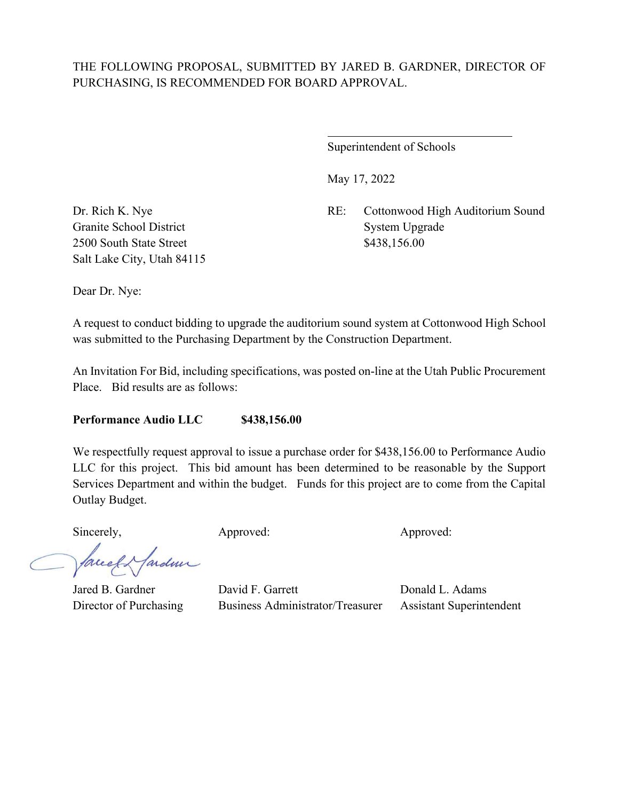$\overline{a}$ 

Superintendent of Schools

May 17, 2022

Dr. Rich K. Nye RE: Cottonwood High Auditorium Sound

Granite School District System Upgrade 2500 South State Street \$438,156.00 Salt Lake City, Utah 84115

Dear Dr. Nye:

A request to conduct bidding to upgrade the auditorium sound system at Cottonwood High School was submitted to the Purchasing Department by the Construction Department.

An Invitation For Bid, including specifications, was posted on-line at the Utah Public Procurement Place. Bid results are as follows:

**Performance Audio LLC \$438,156.00**

We respectfully request approval to issue a purchase order for \$438,156.00 to Performance Audio LLC for this project. This bid amount has been determined to be reasonable by the Support Services Department and within the budget. Funds for this project are to come from the Capital Outlay Budget.

Sincerely, Approved: Approved: Approved: Approved:

fardner facel